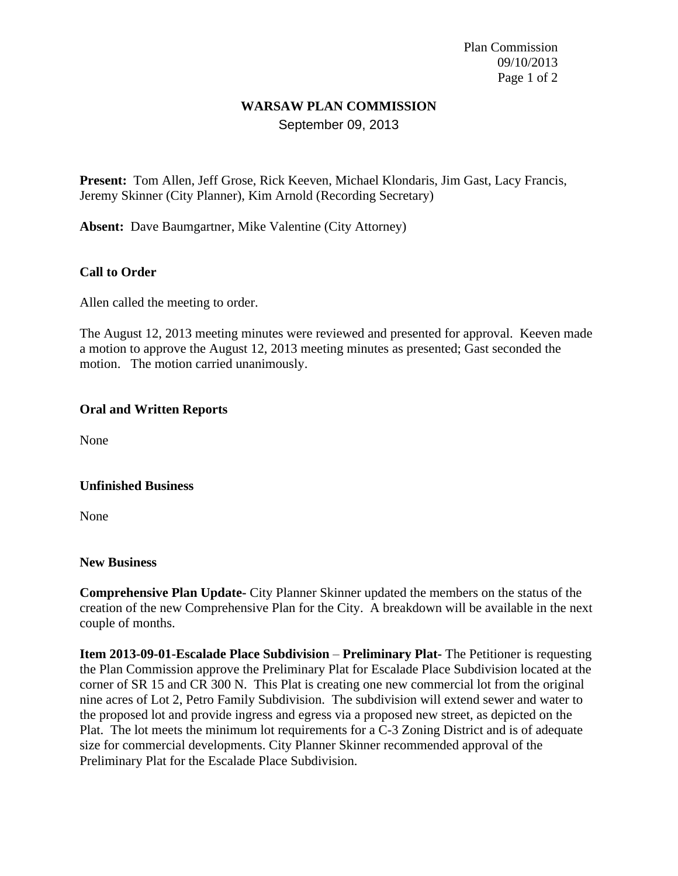Plan Commission 09/10/2013 Page 1 of 2

# **WARSAW PLAN COMMISSION**

September 09, 2013

**Present:** Tom Allen, Jeff Grose, Rick Keeven, Michael Klondaris, Jim Gast, Lacy Francis, Jeremy Skinner (City Planner), Kim Arnold (Recording Secretary)

**Absent:** Dave Baumgartner, Mike Valentine (City Attorney)

## **Call to Order**

Allen called the meeting to order.

The August 12, 2013 meeting minutes were reviewed and presented for approval. Keeven made a motion to approve the August 12, 2013 meeting minutes as presented; Gast seconded the motion. The motion carried unanimously.

### **Oral and Written Reports**

None

### **Unfinished Business**

None

#### **New Business**

**Comprehensive Plan Update-** City Planner Skinner updated the members on the status of the creation of the new Comprehensive Plan for the City. A breakdown will be available in the next couple of months.

**Item 2013-09-01-Escalade Place Subdivision – Preliminary Plat- The Petitioner is requesting** the Plan Commission approve the Preliminary Plat for Escalade Place Subdivision located at the corner of SR 15 and CR 300 N. This Plat is creating one new commercial lot from the original nine acres of Lot 2, Petro Family Subdivision. The subdivision will extend sewer and water to the proposed lot and provide ingress and egress via a proposed new street, as depicted on the Plat. The lot meets the minimum lot requirements for a C-3 Zoning District and is of adequate size for commercial developments. City Planner Skinner recommended approval of the Preliminary Plat for the Escalade Place Subdivision.